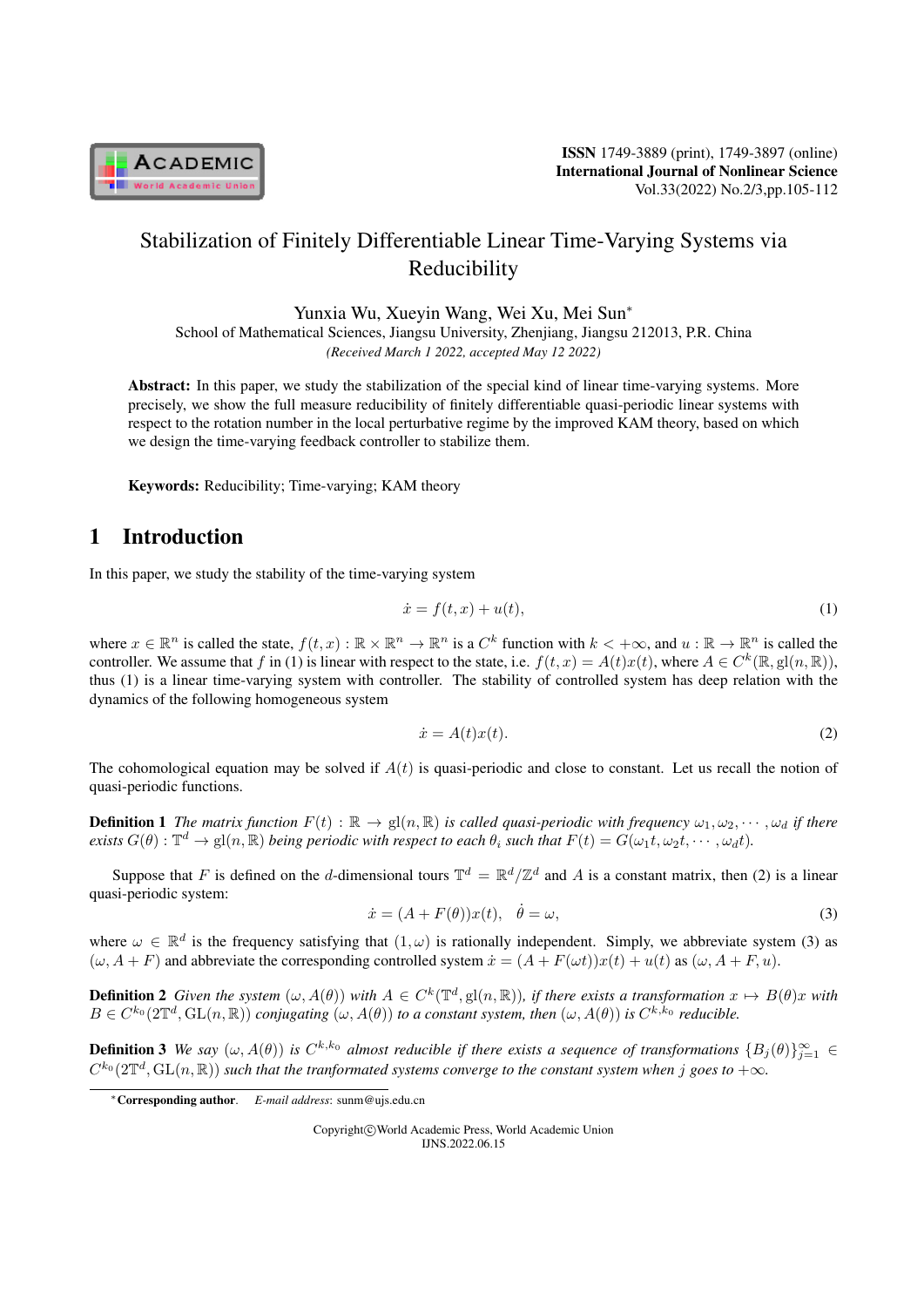

# Stabilization of Finitely Differentiable Linear Time-Varying Systems via Reducibility

Yunxia Wu, Xueyin Wang, Wei Xu, Mei Sun*<sup>∗</sup>*

School of Mathematical Sciences, Jiangsu University, Zhenjiang, Jiangsu 212013, P.R. China *(Received March 1 2022, accepted May 12 2022)*

Abstract: In this paper, we study the stabilization of the special kind of linear time-varying systems. More precisely, we show the full measure reducibility of finitely differentiable quasi-periodic linear systems with respect to the rotation number in the local perturbative regime by the improved KAM theory, based on which we design the time-varying feedback controller to stabilize them.

Keywords: Reducibility; Time-varying; KAM theory

# 1 Introduction

In this paper, we study the stability of the time-varying system

$$
\dot{x} = f(t, x) + u(t),\tag{1}
$$

where  $x \in \mathbb{R}^n$  is called the state,  $f(t, x): \mathbb{R} \times \mathbb{R}^n \to \mathbb{R}^n$  is a  $C^k$  function with  $k < +\infty$ , and  $u: \mathbb{R} \to \mathbb{R}^n$  is called the controller. We assume that *f* in (1) is linear with respect to the state, i.e.  $f(t, x) = A(t)x(t)$ , where  $A \in C^k(\mathbb{R}, \text{gl}(n, \mathbb{R}))$ , thus (1) is a linear time-varying system with controller. The stability of controlled system has deep relation with the dynamics of the following homogeneous system

$$
\dot{x} = A(t)x(t). \tag{2}
$$

The cohomological equation may be solved if  $A(t)$  is quasi-periodic and close to constant. Let us recall the notion of quasi-periodic functions.

**Definition 1** The matrix function  $F(t): \mathbb{R} \to \text{gl}(n, \mathbb{R})$  is called quasi-periodic with frequency  $\omega_1, \omega_2, \cdots, \omega_d$  if there exists  $G(\theta)$  :  $\mathbb{T}^d\to$   $\mathrm{gl}(n,\mathbb{R})$  being periodic with respect to each  $\theta_i$  such that  $F(t)=G(\omega_1 t,\omega_2 t,\cdots,\omega_d t)$ .

Suppose that *F* is defined on the *d*-dimensional tours  $\mathbb{T}^d = \mathbb{R}^d / \mathbb{Z}^d$  and *A* is a constant matrix, then (2) is a linear quasi-periodic system:

$$
\dot{x} = (A + F(\theta))x(t), \quad \dot{\theta} = \omega,\tag{3}
$$

where  $\omega \in \mathbb{R}^d$  is the frequency satisfying that  $(1,\omega)$  is rationally independent. Simply, we abbreviate system (3) as  $(\omega, A + F)$  and abbreviate the corresponding controlled system  $\dot{x} = (A + F(\omega t))x(t) + u(t)$  as  $(\omega, A + F, u)$ .

**Definition 2** Given the system  $(\omega, A(\theta))$  with  $A \in C^k(\mathbb{T}^d, \mathrm{gl}(n, \mathbb{R}))$ , if there exists a transformation  $x \mapsto B(\theta)x$  with  $B\in C^{k_0}(2\mathbb{T}^d,\operatorname{GL}(n,\mathbb{R}))$  conjugating  $(\omega,A(\theta))$  to a constant system, then  $(\omega,A(\theta))$  is  $C^{k,k_0}$  reducible.

**Definition 3** We say  $(\omega, A(\theta))$  is  $C^{k,k_0}$  almost reducible if there exists a sequence of transformations  $\{B_j(\theta)\}_{j=1}^{\infty}$   $\in$  $C^{k_0}(2\mathbb{T}^d,\mathrm{GL}(n,\mathbb{R}))$  *such that the tranformated systems converge to the constant system when*  $j$  *goes to*  $+\infty$ .

Copyright*⃝*c World Academic Press, World Academic Union IJNS.2022.06.15

*<sup>∗</sup>*Corresponding author. *E-mail address*: sunm@ujs.edu.cn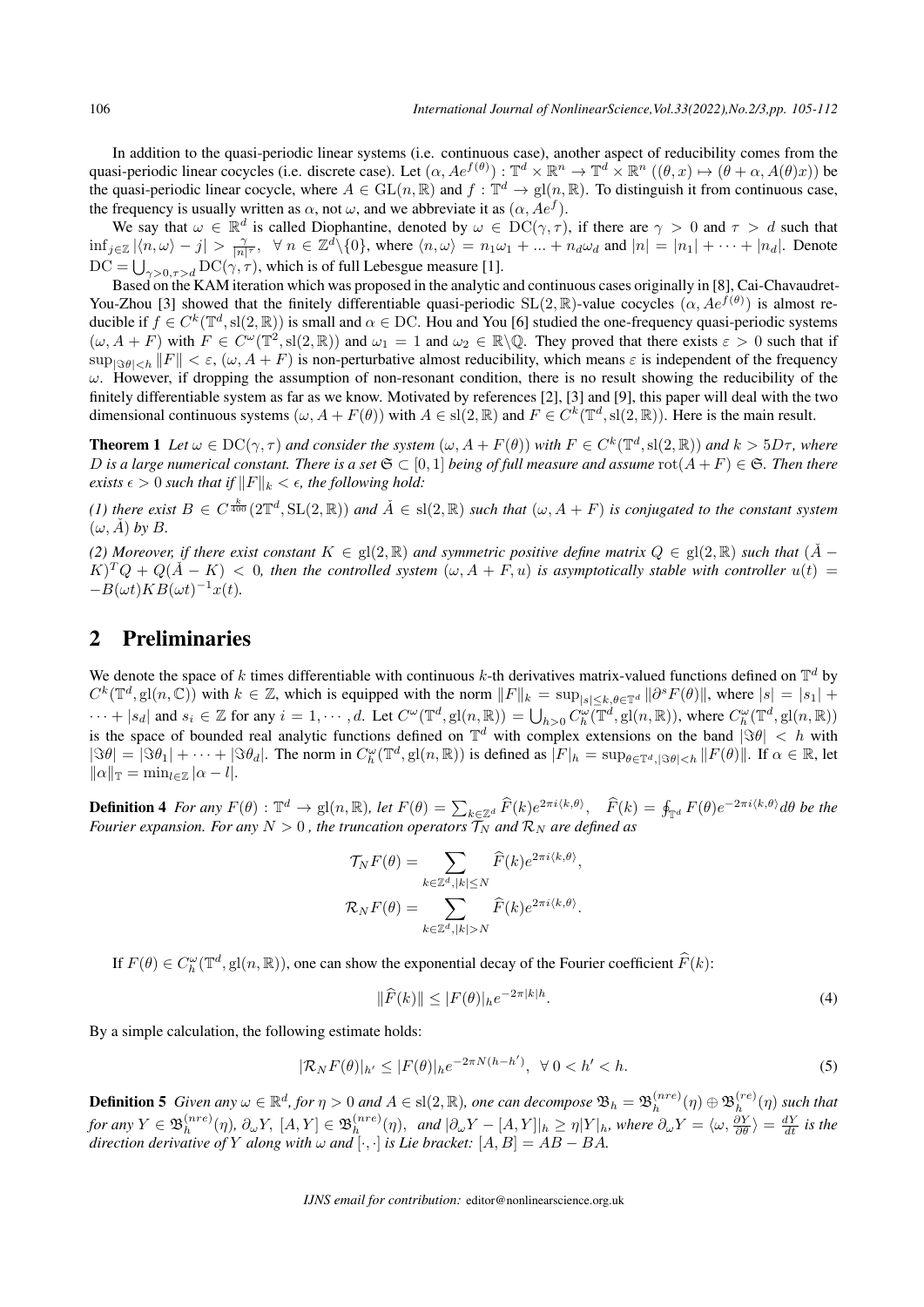In addition to the quasi-periodic linear systems (i.e. continuous case), another aspect of reducibility comes from the quasi-periodic linear cocycles (i.e. discrete case). Let  $(\alpha, Ae^{f(\theta)}): \mathbb{T}^d \times \mathbb{R}^n \to \mathbb{T}^d \times \mathbb{R}^n$   $((\theta, x) \mapsto (\theta + \alpha, A(\theta)x))$  be the quasi-periodic linear cocycle, where  $A \in GL(n, \mathbb{R})$  and  $f: \mathbb{T}^d \to \text{gl}(n, \mathbb{R})$ . To distinguish it from continuous case, the frequency is usually written as  $\alpha$ , not  $\omega$ , and we abbreviate it as  $(\alpha, Ae^f)$ .

We say that  $\omega \in \mathbb{R}^d$  is called Diophantine, denoted by  $\omega \in \mathrm{DC}(\gamma, \tau)$ , if there are  $\gamma > 0$  and  $\tau > d$  such that  $\inf_{j\in\mathbb{Z}}|\langle n,\omega\rangle-j| > \frac{\gamma}{|n|^\tau}, \forall n \in \mathbb{Z}^d\setminus\{0\},\$  where  $\langle n,\omega\rangle = n_1\omega_1 + ... + n_d\omega_d$  and  $|n| = |n_1| + ... + |n_d|$ . Denote the quasi-periodic linear cocycle, where  $A \in GL(n, \mathbb{R})$  and  $f : \mathbb{T}^d$  the frequency is usually written as  $\alpha$ , not  $\omega$ , and we abbreviate it as We say that  $\omega \in \mathbb{R}^d$  is called Diophantine, denoted by  $\omega \in \inf_{j \in \$ 

Based on the KAM iteration which was proposed in the analytic and continuous cases originally in [8], Cai-Chavaudret-You-Zhou [3] showed that the finitely differentiable quasi-periodic  $SL(2,\mathbb{R})$ -value cocycles  $(\alpha, Ae^{f(\theta)})$  is almost reducible if  $f \in C^k(\mathbb{T}^d, \text{sl}(2,\mathbb{R}))$  is small and  $\alpha \in \text{DC}$ . Hou and You [6] studied the one-frequency quasi-periodic systems  $(\omega, A + F)$  with  $F \in C^{\omega}(\mathbb{T}^2, \text{sl}(2, \mathbb{R}))$  and  $\omega_1 = 1$  and  $\omega_2 \in \mathbb{R} \setminus \mathbb{Q}$ . They proved that there exists  $\varepsilon > 0$  such that if  $\sup_{\mathbb{S}(\theta)|\leq h} \|F\| < \varepsilon$ ,  $(\omega, A + F)$  is non-perturbative almost reducibility, which means  $\varepsilon$  is independent of the frequency *ω*. However, if dropping the assumption of non-resonant condition, there is no result showing the reducibility of the finitely differentiable system as far as we know. Motivated by references [2], [3] and [9], this paper will deal with the two dimensional continuous systems  $(\omega, A + F(\theta))$  with  $A \in sl(2, \mathbb{R})$  and  $F \in C^k(\mathbb{T}^d, sl(2, \mathbb{R}))$ . Here is the main result.

**Theorem 1** Let  $\omega \in DC(\gamma, \tau)$  and consider the system  $(\omega, A + F(\theta))$  with  $F \in C^k(\mathbb{T}^d, \text{sl}(2, \mathbb{R}))$  and  $k > 5D\tau$ , where *D* is a large numerical constant. There is a set  $\mathfrak{S} \subset [0,1]$  being of full measure and assume  $\text{rot}(A + F) \in \mathfrak{S}$ . Then there *exists*  $\epsilon$  > 0 *such that if*  $||F||_k < \epsilon$ *, the following hold:* 

(1) there exist  $B\in C^{\frac{k}{400}}(2\mathbb{T}^d, \mathrm{SL}(2,\mathbb{R}))$  and  $\check{A}\in \mathrm{sl}(2,\mathbb{R})$  such that  $(\omega,A+F)$  is conjugated to the constant system  $(\omega, \check{A})$  by  $B$ .

*(2) Moreover, if there exist constant*  $K \in \text{gl}(2,\mathbb{R})$  *and symmetric positive define matrix*  $Q \in \text{gl}(2,\mathbb{R})$  *such that*  $(A)$  −  $(K)^T Q + Q(A-K)$  < 0*, then the controlled system*  $(\omega, A + F, u)$  *is asymptotically stable with controller*  $u(t)$  = *−B*(*ωt*)*KB*(*ωt*) *<sup>−</sup>*<sup>1</sup>*x*(*t*)*.*

# 2 Preliminaries

We denote the space of k times differentiable with continuous  $k$ -th derivatives matrix-valued functions defined on  $\mathbb{T}^d$  by  $C^k(\mathbb{T}^d, \mathrm{gl}(n, \mathbb{C}))$  with  $k \in \mathbb{Z}$ , which is equipped with the norm  $||F||_k = \sup_{|s| \le k, \theta \in \mathbb{T}^d} ||\partial^s F(\theta)||$ , where  $|s| = |s_1| +$ **2 Preliminaries**<br>We denote the space of k times differentiable with continuous k-th derivatives matrix-valued functions defined on  $\mathbb{T}^d$  by<br> $C^k(\mathbb{T}^d, \mathbf{gl}(n, \mathbb{C}))$  with  $k \in \mathbb{Z}$ , which is equipped with the nor is the space of bounded real analytic functions defined on  $\mathbb{T}^d$  with complex extensions on the band  $|\Im \theta| = |\Im \theta_1| + \cdots + |\Im \theta_d|$ . The norm in  $C_h^{\omega}(\mathbb{T}^d, g l(n, \mathbb{R}))$  is defined as  $|F|_h = \sup_{\theta \in \mathbb{T}^d, |\Im \theta| < h} ||F(\theta)||$  $|\Im \theta| = |\Im \theta_1| + \cdots + |\Im \theta_d|$ . The norm in  $C_h^{\omega}(\mathbb{T}^d, \mathrm{gl}(n, \mathbb{R}))$  is defined as  $|F|_h = \sup_{\theta \in \mathbb{T}^d, |\Im \theta| < h} ||F(\theta)||$ . If  $\alpha \in \mathbb{R}$ , let  $||\alpha||_{\mathbb{T}} = \min_{l \in \mathbb{Z}} |\alpha - l|.$ is the space of bounded real analytic functions defined on  $\mathbb{T}^d$  with complex extensions on the band  $|\Im \theta| < h$  with  $|\Im \theta| = |\Im \theta_1| + \cdots + |\Im \theta_d|$ . The norm in  $C_h^{\omega}(\mathbb{T}^d, \text{gl}(n, \mathbb{R}))$  is defined as  $|F|_h = \sup_{\theta \in \mathbb$ 

*Fourier expansion. For any*  $N > 0$  , the truncation operators  $\mathcal{T}_N$  and  $\mathcal{R}_N$  are defined as *R*), let  $F(\theta) = \sum_{k \in \mathbb{Z}^d} \widehat{F}(k)$ <br>uncation operators  $\mathcal{T}_N$  and  $\mathcal{R}$ <br> $\mathcal{T}_N F(\theta) = \sum \widehat{F}(k) e^{-\theta}$ 

*rier expansion. For any* 
$$
N > 0
$$
, *the truncation operators*  $\mathcal{T}_N$  *and*  $\mathcal{R}_N$  *are defined as*  
\n
$$
\mathcal{T}_N F(\theta) = \sum_{k \in \mathbb{Z}^d, |k| \le N} \widehat{F}(k) e^{2\pi i \langle k, \theta \rangle},
$$
\n
$$
\mathcal{R}_N F(\theta) = \sum_{k \in \mathbb{Z}^d, |k| > N} \widehat{F}(k) e^{2\pi i \langle k, \theta \rangle}.
$$
\nIf  $F(\theta) \in C_h^{\omega}(\mathbb{T}^d, \mathbf{gl}(n, \mathbb{R}))$ , one can show the exponential decay of the Fourier coefficient  $\widehat{F}(k)$ :

$$
k \in \mathbb{Z}^d, |k| > N
$$
  
the exponential decay of the Fourier coefficient  $\widehat{F}(k)$ :  

$$
\|\widehat{F}(k)\| \le |F(\theta)|_h e^{-2\pi |k|h}.
$$
 (4)

By a simple calculation, the following estimate holds:

$$
|\mathcal{R}_N F(\theta)|_{h'} \le |F(\theta)|_h e^{-2\pi N(h-h')}, \ \forall \ 0 < h' < h. \tag{5}
$$

**Definition 5** Given any  $\omega \in \mathbb{R}^d$ , for  $\eta > 0$  and  $A \in \text{sl}(2,\mathbb{R})$ , one can decompose  $\mathfrak{B}_h = \mathfrak{B}_h^{(nre)}$  $\mathfrak{B}^{(nre)}_h(\eta)\oplus\mathfrak{B}^{(re)}_h$  $h^{(re)}(n)$  *such that for any*  $Y \in \mathfrak{B}_h^{(nre)}$  $\phi_h^{(nre)}(\eta)$ ,  $\partial_\omega Y$ ,  $[A, Y] \in \mathfrak{B}_h^{(nre)}$  $\int_h^{(nre)}(\eta)$ , and  $|\partial_\omega Y - [A, Y]|_h \geq \eta |Y|_h$ , where  $\partial_\omega Y = \langle \omega, \frac{\partial Y}{\partial \theta} \rangle = \frac{dY}{dt}$  is the *direction derivative of*  $Y$  *along with*  $\omega$  *and*  $[\cdot, \cdot]$  *is Lie bracket:*  $[A, B] = AB - BA$ *.*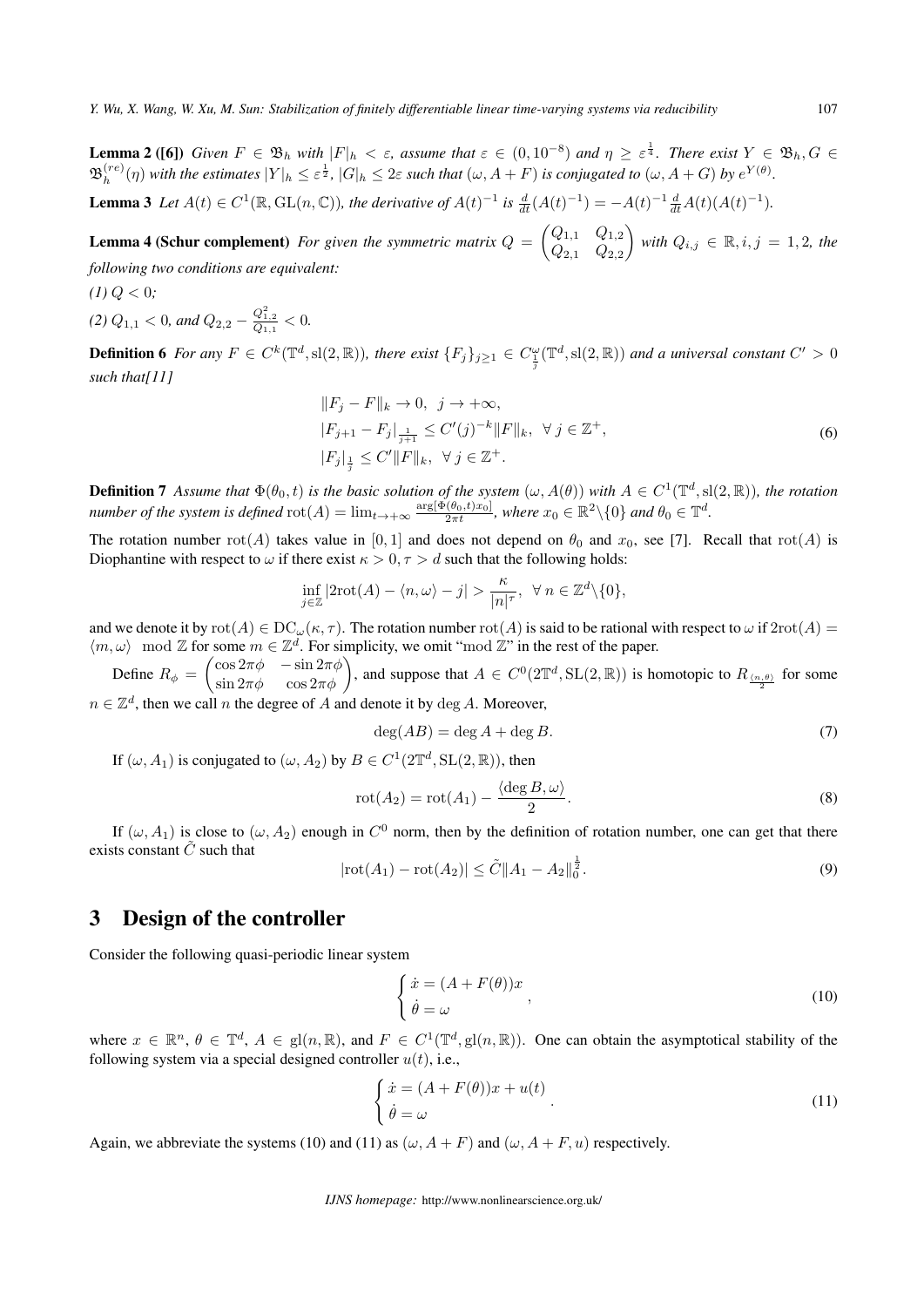**Lemma 2** ([6]) Given  $F \in \mathfrak{B}_h$  with  $|F|_h < \varepsilon$ , assume that  $\varepsilon \in (0, 10^{-8})$  and  $\eta \geq \varepsilon^{\frac{1}{4}}$ . There exist  $Y \in \mathfrak{B}_h$ ,  $G \in$  $\mathfrak B^{(re)}_h$  $\binom{(re)}{h}$  with the estimates  $|Y|_h \leq \varepsilon^{\frac{1}{2}}$ ,  $|G|_h \leq 2\varepsilon$  such that  $(\omega, A + F)$  is conjugated to  $(\omega, A + G)$  by  $e^{Y(\theta)}$ .

**Lemma 3** Let  $A(t) \in C^1(\mathbb{R}, GL(n, \mathbb{C}))$ , the derivative of  $A(t)^{-1}$  is  $\frac{d}{dt}(A(t)^{-1}) = -A(t)^{-1} \frac{d}{dt}A(t)(A(t)^{-1})$ .

**Lemma 4 (Schur complement)** For given the symmetric matrix  $Q = \begin{pmatrix} Q_{1,1} & Q_{1,2} \\ O & Q_{2,3} \end{pmatrix}$ *Q*2*,*<sup>1</sup> *Q*2*,*<sup>2</sup> *with*  $Q_{i,j} \in \mathbb{R}, i, j = 1, 2,$  *the following two conditions are equivalent:*

 $(1)$   $Q < 0$ ;

*(2)*  $Q_{1,1} < 0$ *, and*  $Q_{2,2} - \frac{Q_{1,2}^2}{Q_{1,1}} < 0$ *.* 

**Definition 6** For any  $F \in C^k(\mathbb{T}^d, \mathrm{sl}(2,\mathbb{R}))$ , there exist  $\{F_j\}_{j\geq 1} \in C^{\omega}_{\frac{1}{j}}(\mathbb{T}^d, \mathrm{sl}(2,\mathbb{R}))$  and a universal constant  $C' > 0$ *such that[11]*

$$
||F_j - F||_k \to 0, \ j \to +\infty,|F_{j+1} - F_j|_{\frac{1}{j+1}} \le C'(j)^{-k} ||F||_k, \ \forall \ j \in \mathbb{Z}^+,|F_j|_{\frac{1}{j}} \le C'||F||_k, \ \forall \ j \in \mathbb{Z}^+.
$$
 (6)

**Definition 7** Assume that  $\Phi(\theta_0, t)$  is the basic solution of the system  $(\omega, A(\theta))$  with  $A \in C^1(\mathbb{T}^d, \text{sl}(2, \mathbb{R}))$ , the rotation number of the system is defined  $\text{rot}(A) = \lim_{t \to +\infty} \frac{\arg[\Phi(\theta_0, t)x_0]}{2\pi t}$ , where  $x_0 \in \mathbb{R}^2 \setminus \{0\}$  and  $\theta_0 \in \mathbb{T}^d$ .

The rotation number  $rot(A)$  takes value in [0, 1] and does not depend on  $\theta_0$  and  $x_0$ , see [7]. Recall that  $rot(A)$  is Diophantine with respect to  $\omega$  if there exist  $\kappa > 0, \tau > d$  such that the following holds:

$$
\inf_{j\in\mathbb{Z}}|2\mathrm{rot}(A)-\langle n,\omega\rangle-j|>\frac{\kappa}{|n|^\tau},\ \ \forall\ n\in\mathbb{Z}^d\backslash\{0\},
$$

and we denote it by  $\text{rot}(A) \in \text{DC}_{\omega}(\kappa, \tau)$ . The rotation number  $\text{rot}(A)$  is said to be rational with respect to  $\omega$  if  $2\text{rot}(A)$  =  $\langle m, \omega \rangle$  mod  $\mathbb{Z}$  for some  $m \in \mathbb{Z}^d$ . For simplicity, we omit "mod  $\mathbb{Z}$ " in the rest of the paper.  $\inf_{j\in\mathbb{Z}}|2\text{rot}(A) - \langle n,\omega \rangle - j| > \frac{\kappa}{|n|^\tau}, \quad \forall n \in \mathbb{Z}^d \setminus \{0\},$ <br>  $\cot(A) \in \text{DC}_{\omega}(\kappa, \tau)$ . The rotation number  $\text{rot}(A)$  is said to be rational with respect to  $\omega$  if  $2\text{rot}(A) =$ <br>
some  $m \in \mathbb{Z}^d$ . For simplicit

Define  $R_{\phi} = \begin{pmatrix} \cos 2\pi\phi & -\sin 2\pi\phi \\ \sin 2\pi\phi & \cos 2\pi\phi \end{pmatrix}$ 

 $n \in \mathbb{Z}^d$ , then we call *n* the degree of *A* and denote it by  $\deg A$ . Moreover,

$$
\deg(AB) = \deg A + \deg B. \tag{7}
$$

If  $(\omega, A_1)$  is conjugated to  $(\omega, A_2)$  by  $B \in C^1(2\mathbb{T}^d, SL(2, \mathbb{R}))$ , then

$$
rot(A_2) = rot(A_1) - \frac{\langle deg B, \omega \rangle}{2}.
$$
\n(8)

If  $(\omega, A_1)$  is close to  $(\omega, A_2)$  enough in  $C^0$  norm, then by the definition of rotation number, one can get that there exists constant  $\tilde{C}$  such that 1

$$
|\text{rot}(A_1) - \text{rot}(A_2)| \le \tilde{C} \|A_1 - A_2\|_0^{\frac{1}{2}}.
$$
\n(9)

### 3 Design of the controller

Consider the following quasi-periodic linear system

$$
\begin{cases}\n\dot{x} = (A + F(\theta))x \\
\dot{\theta} = \omega\n\end{cases}
$$
\n(10)

where  $x \in \mathbb{R}^n$ ,  $\theta \in \mathbb{T}^d$ ,  $A \in \text{gl}(n, \mathbb{R})$ , and  $F \in C^1(\mathbb{T}^d, \text{gl}(n, \mathbb{R}))$ . One can obtain the asymptotical stability of the following system via a special designed controller  $u(t)$ , i.e.,

$$
\begin{cases}\n\dot{x} = (A + F(\theta))x + u(t) \\
\dot{\theta} = \omega\n\end{cases}.
$$
\n(11)

Again, we abbreviate the systems (10) and (11) as  $(\omega, A + F)$  and  $(\omega, A + F, u)$  respectively.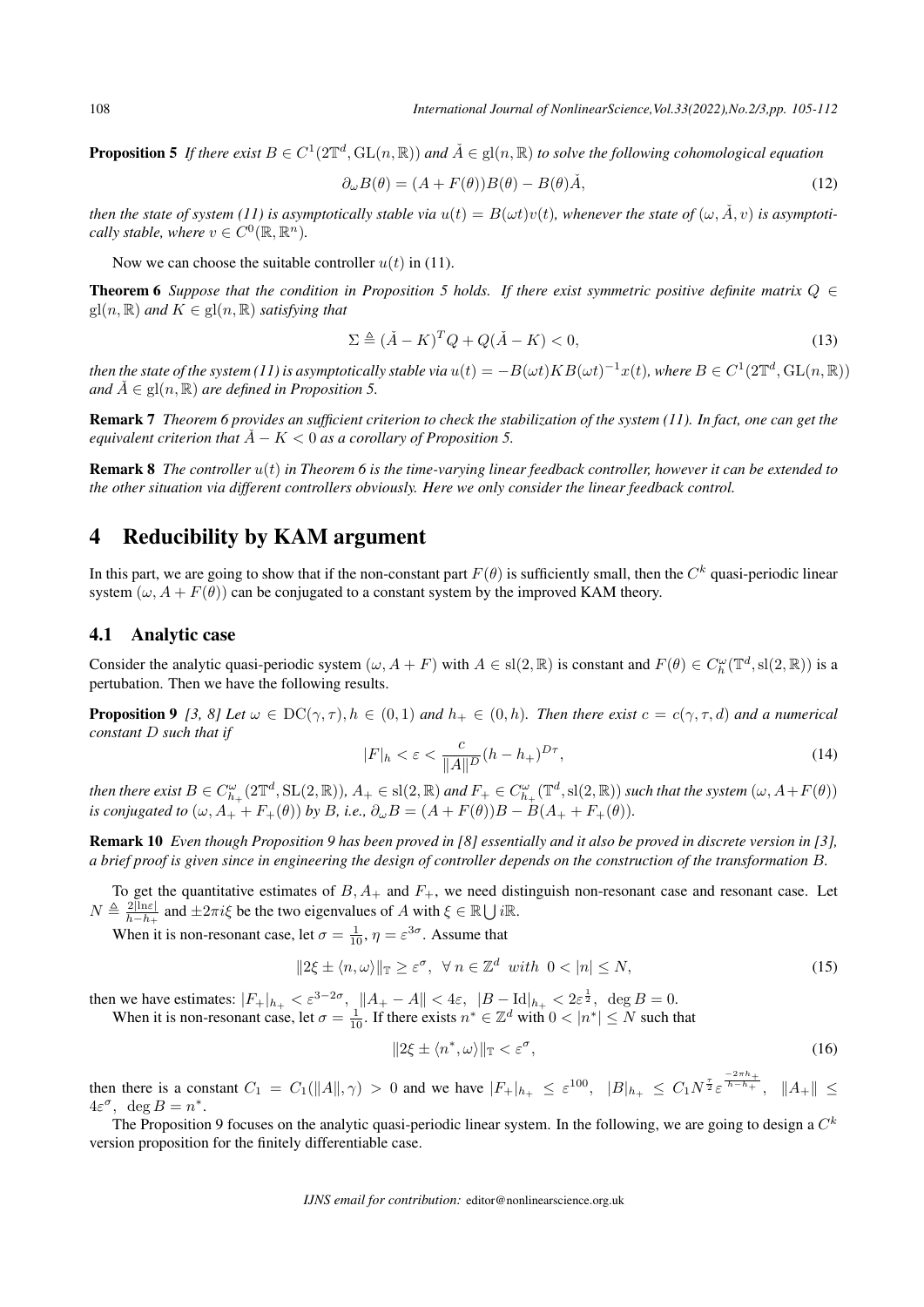**Proposition 5** If there exist  $B \in C^1(2\mathbb{T}^d, GL(n, \mathbb{R}))$  and  $\check{A} \in gl(n, \mathbb{R})$  to solve the following cohomological equation

$$
\partial_{\omega}B(\theta) = (A + F(\theta))B(\theta) - B(\theta)\check{A},\tag{12}
$$

*then the state of system (11) is asymptotically stable via*  $u(t) = B(\omega t)v(t)$ , whenever the state of  $(\omega, \check{A}, v)$  is asymptoti*cally stable, where*  $v \in C^0(\mathbb{R}, \mathbb{R}^n)$ *.* 

Now we can choose the suitable controller  $u(t)$  in (11).

**Theorem 6** *Suppose that the condition in Proposition 5 holds. If there exist symmetric positive definite matrix*  $Q \in$  $gl(n, \mathbb{R})$  *and*  $K \in gl(n, \mathbb{R})$  *satisfying that* 

$$
\Sigma \triangleq (\check{A} - K)^T Q + Q(\check{A} - K) < 0,\tag{13}
$$

then the state of the system (11) is asymptotically stable via  $u(t)=-B(\omega t)KB(\omega t)^{-1}x(t)$ , where  $B\in C^1(2\mathbb{T}^d,\mathrm{GL}(n,\mathbb{R}))$ *and*  $\check{A} \in \text{gl}(n, \mathbb{R})$  *are defined in Proposition 5.* 

Remark 7 *Theorem 6 provides an sufficient criterion to check the stabilization of the system (11). In fact, one can get the equivalent criterion that*  $\AA - K < 0$  *as a corollary of Proposition 5.* 

Remark 8 *The controller u*(*t*) *in Theorem 6 is the time-varying linear feedback controller, however it can be extended to the other situation via different controllers obviously. Here we only consider the linear feedback control.*

# 4 Reducibility by KAM argument

In this part, we are going to show that if the non-constant part  $F(\theta)$  is sufficiently small, then the  $C^k$  quasi-periodic linear system  $(\omega, A + F(\theta))$  can be conjugated to a constant system by the improved KAM theory.

#### 4.1 Analytic case

Consider the analytic quasi-periodic system  $(\omega, A + F)$  with  $A \in sl(2, \mathbb{R})$  is constant and  $F(\theta) \in C_h^{\omega}(\mathbb{T}^d, sl(2, \mathbb{R}))$  is a pertubation. Then we have the following results.

**Proposition 9** [3, 8] Let  $\omega \in DC(\gamma, \tau)$ ,  $h \in (0,1)$  and  $h_+ \in (0,h)$ . Then there exist  $c = c(\gamma, \tau, d)$  and a numerical *constant D such that if*

$$
|F|_h < \varepsilon < \frac{c}{\|A\|^D} (h - h_+)^{D\tau},\tag{14}
$$

then there exist  $B\in C^\omega_{h_+}(2\mathbb{T}^d, \mathrm{SL}(2,\mathbb{R})),$   $A_+\in\mathrm{sl}(2,\mathbb{R})$  and  $F_+\in C^\omega_{h_+}(\mathbb{T}^d, \mathrm{sl}(2,\mathbb{R}))$  such that the system  $(\omega,A+F(\theta))$ *is conjugated to*  $(\omega, A_+ + F_+(\theta))$  *by B, i.e.,*  $\partial_{\omega}B = (A + F(\theta))B - B(A_+ + F_+(\theta)).$ 

Remark 10 *Even though Proposition 9 has been proved in [8] essentially and it also be proved in discrete version in [3],* ∪*a brief proof is given since in engineering the design of controller depends on the construction of the transformation B.*

To get the quantitative estimates of *B, A*<sup>+</sup> and *F*+, we need distinguish non-resonant case and resonant case. Let  $N \triangleq \frac{2|\text{ln}\varepsilon|}{h-h}$  $\frac{2|\ln \varepsilon|}{h-h_+}$  and  $\pm 2\pi i\xi$  be the two eigenvalues of *A* with  $\xi \in \mathbb{R} \cup i\mathbb{R}$ .

When it is non-resonant case, let  $\sigma = \frac{1}{10}$ ,  $\eta = \varepsilon^{3\sigma}$ . Assume that

$$
||2\xi \pm \langle n, \omega \rangle||_{\mathbb{T}} \ge \varepsilon^{\sigma}, \ \forall \ n \in \mathbb{Z}^d \ with \ 0 < |n| \le N,
$$
\n<sup>(15)</sup>

then we have estimates:  $|F_+|_{h_+} < \varepsilon^{3-2\sigma}$ ,  $||A_+ - A|| < 4\varepsilon$ ,  $|B - \text{Id}|_{h_+} < 2\varepsilon^{\frac{1}{2}}$ ,  $\deg B = 0$ . When it is non-resonant case, let  $\sigma = \frac{1}{10}$ . If there exists  $n^* \in \mathbb{Z}^d$  with  $0 < |n^*| \le N$  such that

$$
||2\xi \pm \langle n^*, \omega \rangle||_{\mathbb{T}} < \varepsilon^{\sigma}, \tag{16}
$$

then there is a constant  $C_1 = C_1(||A||, \gamma) > 0$  and we have  $|F_+|_{h_+} \leq \varepsilon^{100}$ ,  $|B|_{h_+} \leq C_1 N^{\frac{\tau}{2}} \varepsilon^{\frac{-2\pi h_+}{h - h_+}}, ||A_+|| \leq$  $4\varepsilon^{\sigma}$ , deg  $B = n^*$ .

The Proposition 9 focuses on the analytic quasi-periodic linear system. In the following, we are going to design a *C k* version proposition for the finitely differentiable case.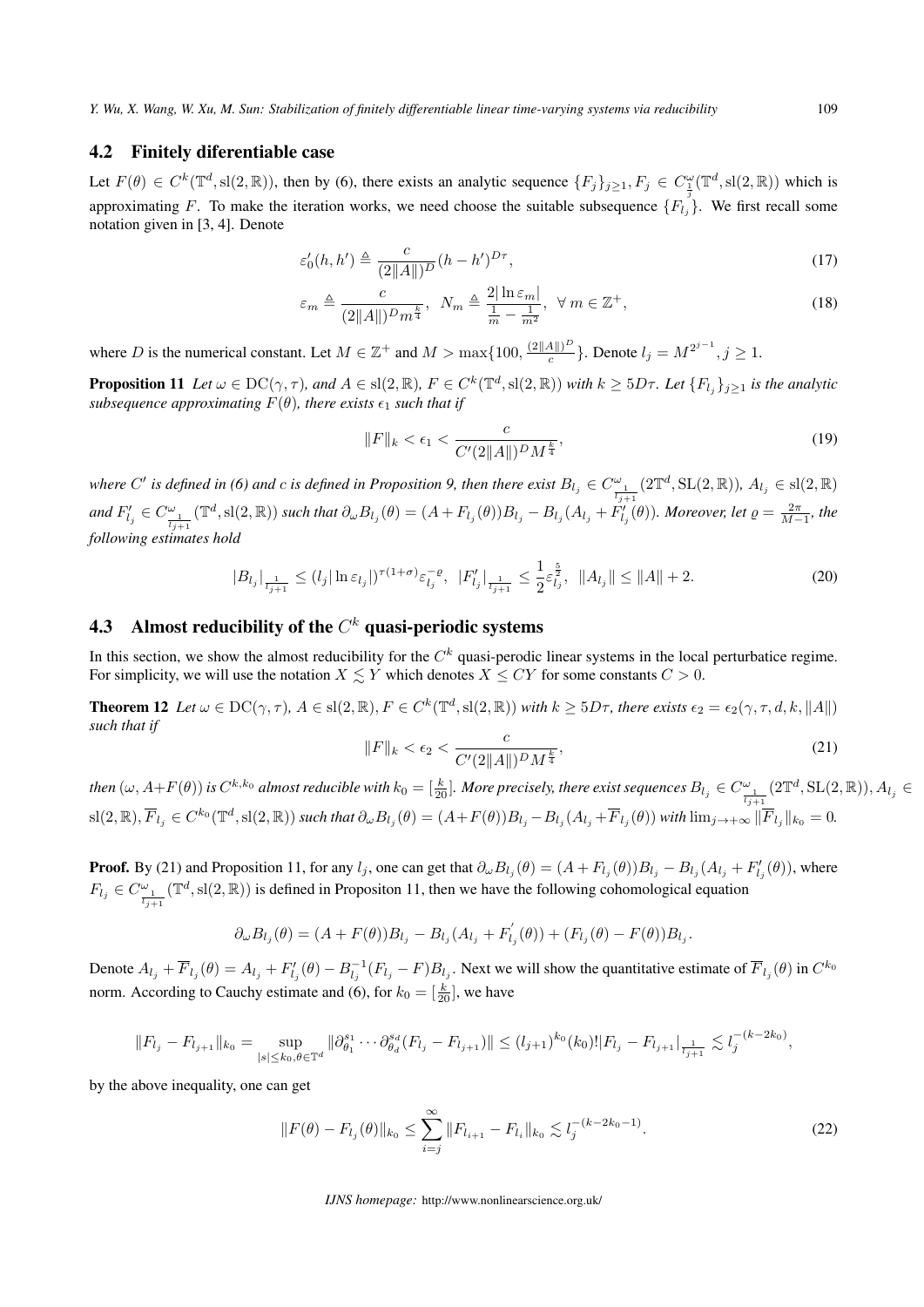#### 4.2 Finitely diferentiable case

Let  $F(\theta) \in C^k(\mathbb{T}^d, \text{sl}(2,\mathbb{R}))$ , then by (6), there exists an analytic sequence  $\{F_j\}_{j\geq 1}, F_j \in C^{\omega}_{\frac{1}{3}}(\mathbb{T}^d, \text{sl}(2,\mathbb{R}))$  which is approximating *F*. To make the iteration works, we need choose the suitable subsequence  ${F_l}$ <sup>*j*</sup>. We first recall some notation given in [3, 4]. Denote

$$
\varepsilon'_{0}(h, h') \triangleq \frac{c}{(2\|A\|)^{D}}(h - h')^{D\tau},\tag{17}
$$

$$
\varepsilon_m \triangleq \frac{c}{(2\|A\|)^D m^{\frac{k}{4}}}, \quad N_m \triangleq \frac{2|\ln \varepsilon_m|}{\frac{1}{m} - \frac{1}{m^2}}, \quad \forall \ m \in \mathbb{Z}^+, \tag{18}
$$

where *D* is the numerical constant. Let  $M \in \mathbb{Z}^+$  and  $M > \max\{100, \frac{(2||A||)^D}{c}\}$  $\frac{A(||)^D}{c}$ . Denote  $l_j = M^{2^{j-1}}, j \geq 1$ .

**Proposition 11** Let  $\omega \in \mathrm{DC}(\gamma, \tau)$ , and  $A \in \mathrm{sl}(2, \mathbb{R})$ ,  $F \in C^k(\mathbb{T}^d, \mathrm{sl}(2, \mathbb{R}))$  with  $k \geq 5D\tau$ . Let  $\{F_{l_j}\}_{j \geq 1}$  is the analytic *subsequence approximating*  $F(\theta)$ *, there exists*  $\epsilon_1$  *such that if* 

$$
||F||_{k} < \epsilon_{1} < \frac{c}{C'(2||A||)^{D}M^{\frac{k}{4}}},
$$
\n(19)

where C' is defined in (6) and c is defined in Proposition 9, then there exist  $B_{l_j}\in C^\omega_{\frac{1}{l_{j+1}}}(2\mathbb{T}^d,\mathrm{SL}(2,\mathbb{R}))$ ,  $A_{l_j}\in \mathrm{sl}(2,\mathbb{R})$ and  $F'_{l_j}\in C^\omega_{\frac{1}{l_{j+1}}}(\mathbb{T}^d,{\rm sl}(2,\mathbb{R}))$  such that  $\partial_\omega B_{l_j}(\theta)=(A+F_{l_j}(\theta))B_{l_j}-B_{l_j}(A_{l_j}+F'_{l_j}(\theta)).$  Moreover, let  $\varrho=\frac{2\pi}{M-1}$ , the *following estimates hold*

$$
|B_{l_j}|_{\frac{1}{l_{j+1}}} \le (l_j |\ln \varepsilon_{l_j}|)^{\tau (1+\sigma)} \varepsilon_{l_j}^{-\varrho}, \ |F'_{l_j}|_{\frac{1}{l_{j+1}}} \le \frac{1}{2} \varepsilon_{l_j}^{\frac{5}{2}}, \ \|A_{l_j}\| \le \|A\| + 2. \tag{20}
$$

# 4.3 Almost reducibility of the *C <sup>k</sup>* quasi-periodic systems

In this section, we show the almost reducibility for the  $C^k$  quasi-perodic linear systems in the local perturbatice regime. For simplicity, we will use the notation  $X \leq Y$  which denotes  $X \leq CY$  for some constants  $C > 0$ .

**Theorem 12** Let  $\omega \in \mathrm{DC}(\gamma, \tau)$ ,  $A \in \mathrm{sl}(2,\mathbb{R})$ ,  $F \in C^k(\mathbb{T}^d, \mathrm{sl}(2,\mathbb{R}))$  with  $k \geq 5D\tau$ , there exists  $\epsilon_2 = \epsilon_2(\gamma, \tau, d, k, ||A||)$ *such that if*

$$
||F||_{k} < \epsilon_{2} < \frac{c}{C'(2||A||)^{D}M^{\frac{k}{4}}},
$$
\n(21)

then  $(\omega,A+F(\theta))$  is  $C^{k,k_0}$  almost reducible with  $k_0=[\frac{k}{20}].$  More precisely, there exist sequences  $B_{l_j}\in C^\omega_{\frac{1}{l_{j+1}}}(2\mathbb{T}^d,\mathrm{SL}(2,\mathbb{R})),$   $A_{l_j}\in$  $\mathrm{sl}(2,\mathbb{R}),$   $\overline{F}_{l_j}\in C^{k_0}(\mathbb{T}^d,\mathrm{sl}(2,\mathbb{R}))$  such that  $\partial_\omega B_{l_j}(\theta)=(A+F(\theta))B_{l_j}-B_{l_j}(A_{l_j}+\overline{F}_{l_j}(\theta))$  with  $\lim_{j\to+\infty}\|\overline{F}_{l_j}\|_{k_0}=0$ .

**Proof.** By (21) and Proposition 11, for any  $l_j$ , one can get that  $\partial_\omega B_{l_j}(\theta) = (A + F_{l_j}(\theta))B_{l_j} - B_{l_j}(A_{l_j} + F'_{l_j}(\theta))$ , where  $F_{l_j} \in C^{\omega}_{\frac{l_j+1}{l_{j+1}}}(\mathbb{T}^d, \text{sl}(2, \mathbb{R}))$  is defined in Propositon 11, then we have the following cohomological equation

$$
\partial_{\omega} B_{l_j}(\theta) = (A + F(\theta))B_{l_j} - B_{l_j}(A_{l_j} + F'_{l_j}(\theta)) + (F_{l_j}(\theta) - F(\theta))B_{l_j}.
$$

Denote  $A_{l_j} + \overline{F}_{l_j}(\theta) = A_{l_j} + F'_{l_j}(\theta) - B_{l_j}^{-1}(F_{l_j} - F)B_{l_j}$ . Next we will show the quantitative estimate of  $\overline{F}_{l_j}(\theta)$  in  $C^{k_0}$ norm. According to Cauchy estimate and (6), for  $k_0 = \left[\frac{k}{20}\right]$ , we have

$$
||F_{l_j} - F_{l_{j+1}}||_{k_0} = \sup_{|s| \le k_0, \theta \in \mathbb{T}^d} ||\partial_{\theta_1}^{s_1} \cdots \partial_{\theta_d}^{s_d} (F_{l_j} - F_{l_{j+1}})|| \le (l_{j+1})^{k_0} (k_0) ||F_{l_j} - F_{l_{j+1}}||_{\frac{1}{l_{j+1}}} \lesssim l_j^{-(k-2k_0)},
$$

by the above inequality, one can get

$$
||F(\theta) - F_{l_j}(\theta)||_{k_0} \le \sum_{i=j}^{\infty} ||F_{l_{i+1}} - F_{l_i}||_{k_0} \lesssim l_j^{-(k-2k_0-1)}.
$$
\n(22)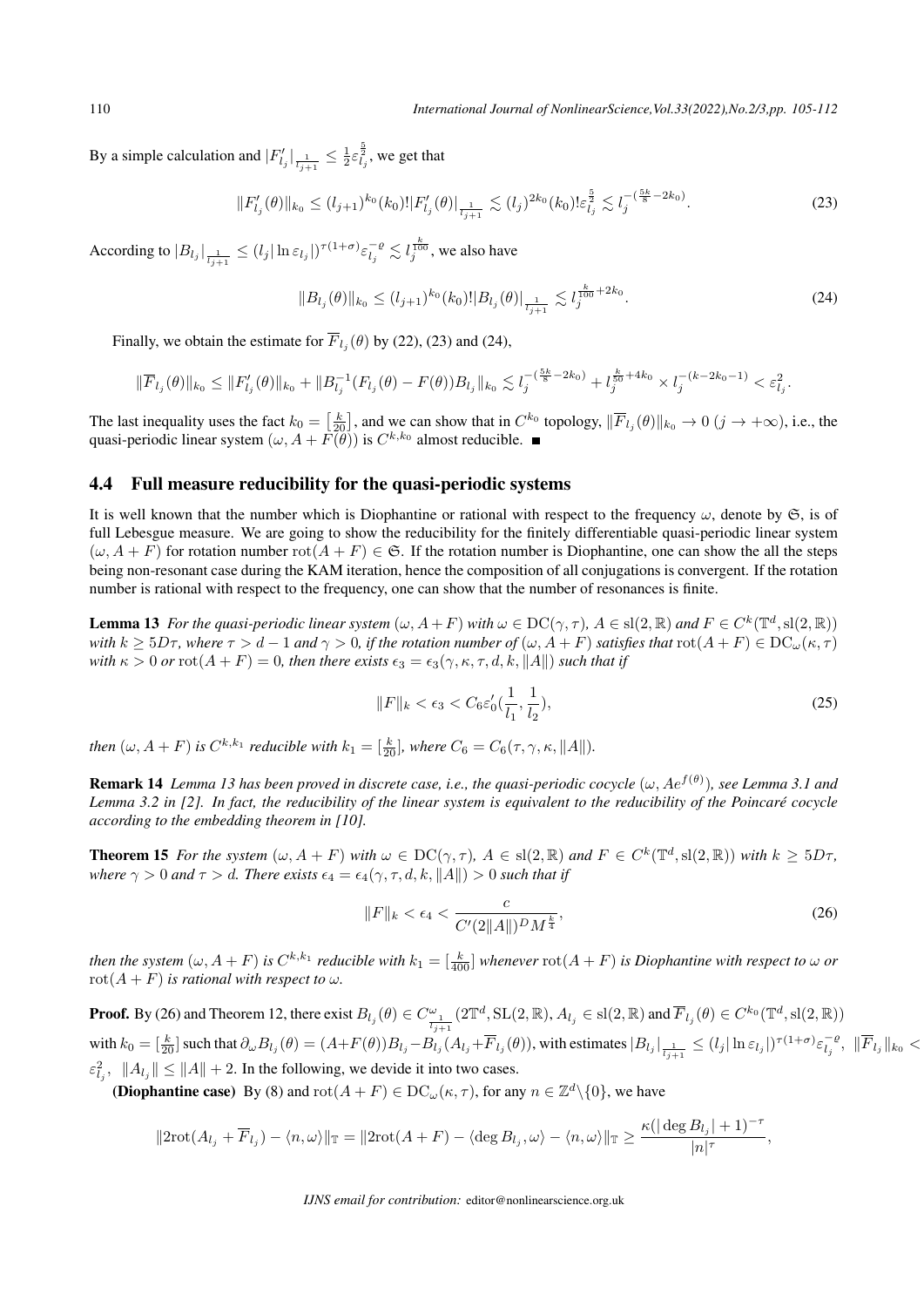By a simple calculation and  $|F'_{l_j}| \frac{1}{l_{j+1}} \leq \frac{1}{2} \varepsilon_{l_j}^{\frac{5}{2}}$ , we get that

$$
||F'_{l_j}(\theta)||_{k_0} \le (l_{j+1})^{k_0} (k_0)! |F'_{l_j}(\theta)|_{\frac{1}{l_{j+1}}} \lesssim (l_j)^{2k_0} (k_0)! \varepsilon_{l_j}^{\frac{5}{2}} \lesssim l_j^{-(\frac{5k}{8} - 2k_0)}.
$$
\n(23)

According to  $|B_{l_j}|_{\frac{1}{l_{j+1}}} \leq (l_j |\ln \varepsilon_{l_j}|)^{\tau(1+\sigma)} \varepsilon_{l_j}^{-\varrho} \lesssim l_j^{\frac{k}{100}},$  we also have

$$
||B_{l_j}(\theta)||_{k_0} \le (l_{j+1})^{k_0}(k_0)!|B_{l_j}(\theta)|_{\frac{1}{l_{j+1}}} \lesssim l_j^{\frac{k}{100} + 2k_0}.
$$
\n(24)

Finally, we obtain the estimate for  $\overline{F}_{l_j}(\theta)$  by (22), (23) and (24),

Finally, we obtain the estimate for 
$$
\overline{F}_{l_j}(\theta)
$$
 by (22), (23) and (24),  $\|\overline{F}_{l_j}(\theta)\|_{k_0} \le \|F'_{l_j}(\theta)\|_{k_0} + \|B_{l_j}^{-1}(F_{l_j}(\theta) - F(\theta))B_{l_j}\|_{k_0} \lesssim l_j^{-\left(\frac{5k}{8} - 2k_0\right)} + l_j^{\frac{k}{50} + 4k_0} \times l_j^{-\left(k - 2k_0 - 1\right)} < \varepsilon_{l_j}^2.$ \nThe last inequality uses the fact  $k_0 = \left[\frac{k}{20}\right]$ , and we can show that in  $C^{k_0}$  topology,  $\|\overline{F}_{l_j}(\theta)\|_{k_0} \to 0 \ (j \to +\infty)$ , i.e., the

quasi-periodic linear system  $(\omega, A + \tilde{F}(\tilde{\theta}))$  is  $C^{k,k_0}$  almost reducible.

#### 4.4 Full measure reducibility for the quasi-periodic systems

It is well known that the number which is Diophantine or rational with respect to the frequency  $\omega$ , denote by  $\mathfrak{S}$ , is of full Lebesgue measure. We are going to show the reducibility for the finitely differentiable quasi-periodic linear system  $(\omega, A + F)$  for rotation number  $\text{rot}(A + F) \in \mathfrak{S}$ . If the rotation number is Diophantine, one can show the all the steps being non-resonant case during the KAM iteration, hence the composition of all conjugations is convergent. If the rotation number is rational with respect to the frequency, one can show that the number of resonances is finite.

**Lemma 13** For the quasi-periodic linear system  $(\omega, A + F)$  with  $\omega \in DC(\gamma, \tau)$ ,  $A \in sl(2, \mathbb{R})$  and  $F \in C^k(\mathbb{T}^d, sl(2, \mathbb{R}))$ with  $k > 5D\tau$ , where  $\tau > d - 1$  and  $\gamma > 0$ , if the rotation number of  $(\omega, A + F)$  satisfies that  $\text{rot}(A + F) \in DC_{\omega}(\kappa, \tau)$ *with*  $\kappa > 0$  *or*  $\text{rot}(A + F) = 0$ *, then there exists*  $\epsilon_3 = \epsilon_3(\gamma, \kappa, \tau, d, k, ||A||)$  *such that if* 

$$
||F||_{k} < \epsilon_{3} < C_{6}\epsilon'_{0}(\frac{1}{l_{1}}, \frac{1}{l_{2}}), \tag{25}
$$

*then*  $(\omega, A + F)$  *is*  $C^{k, k_1}$  *reducible with*  $k_1 = [\frac{k}{20}]$ *, where*  $C_6 = C_6(\tau, \gamma, \kappa, \|A\|)$ *.* 

Remark 14 *Lemma 13 has been proved in discrete case, i.e., the quasi-periodic cocycle* (*ω, Ae<sup>f</sup>*(*θ*) )*, see Lemma 3.1 and Lemma 3.2 in [2]. In fact, the reducibility of the linear system is equivalent to the reducibility of the Poincare cocycle ´ according to the embedding theorem in [10].*

**Theorem 15** For the system  $(\omega, A + F)$  with  $\omega \in DC(\gamma, \tau)$ ,  $A \in sl(2, \mathbb{R})$  and  $F \in C^k(\mathbb{T}^d, sl(2, \mathbb{R}))$  with  $k \geq 5D\tau$ , *where*  $\gamma > 0$  *and*  $\tau > d$ *. There exists*  $\epsilon_4 = \epsilon_4(\gamma, \tau, d, k, ||A||) > 0$  *such that if* 

$$
||F||_{k} < \epsilon_{4} < \frac{c}{C'(2||A||)^{D}M^{\frac{k}{4}}},
$$
\n(26)

then the system  $(\omega,A+F)$  is  $C^{k,k_1}$  reducible with  $k_1=[\frac{k}{400}]$  whenever  $\mathrm{rot}(A+F)$  is Diophantine with respect to  $\omega$  or  $rot(A + F)$  *is rational with respect to*  $\omega$ *.* 

**Proof.** By (26) and Theorem 12, there exist  $B_{l_j}(\theta) \in C^{\omega}_{\frac{1}{l_{j+1}}}(2\mathbb{T}^d, \mathrm{SL}(2,\mathbb{R}), A_{l_j} \in \mathrm{sl}(2,\mathbb{R})$  and  $\overline{F}_{l_j}(\theta) \in C^{k_0}(\mathbb{T}^d, \mathrm{sl}(2,\mathbb{R}))$ with  $k_0 = \left[\frac{k}{20}\right]$  such that  $\partial_{\omega} B_{l_j}(\theta) = (A + F(\theta))B_{l_j} - \overline{B}_{l_j}(A_{l_j} + \overline{F}_{l_j}(\theta))$ , with estimates  $|B_{l_j}| \frac{1}{l_{j+1}} \leq (l_j |\ln \varepsilon_{l_j}|)^{\tau(1+\sigma)} \varepsilon_{l_j}^{-\varrho}$ ,  $\|\overline{F}_{l_j}\|_{k_0} <$  $\epsilon_{l_j}^2$ ,  $||A_{l_j}|| \le ||A|| + 2$ . In the following, we devide it into two cases.

**(Diophantine case)** By (8) and  $\text{rot}(A + F) \in \text{DC}_{\omega}(\kappa, \tau)$ , for any  $n \in \mathbb{Z}^d \setminus \{0\}$ , we have

$$
||2\mathrm{rot}(A_{l_j}+\overline{F}_{l_j})-\langle n,\omega\rangle||_{\mathbb{T}}=||2\mathrm{rot}(A+F)-\langle \deg B_{l_j},\omega\rangle-\langle n,\omega\rangle||_{\mathbb{T}}\geq \frac{\kappa(|\deg B_{l_j}|+1)^{-\tau}}{|n|^\tau},
$$

*IJNS email for contribution:* editor@nonlinearscience.org.uk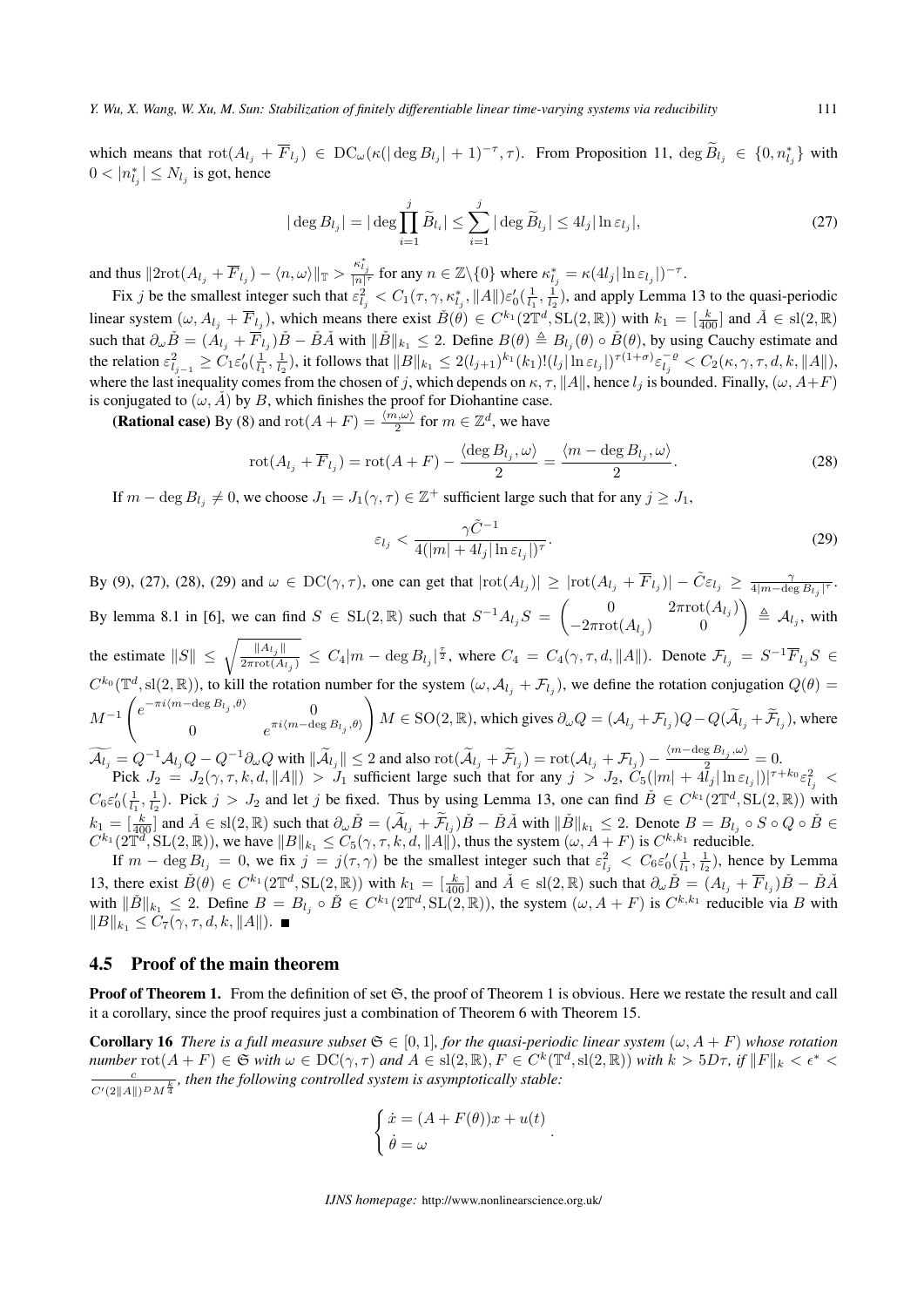*Y. Wu, X. Wang, W. Xu, M. Sun: Stabilization of finitely differentiable linear time-varying systems via reducibility* 111

*Y. Wu, X. Wang, W. Xu, M. Sun: Stabilization of finitely differentiable linear time-varying systems via reducibility* 111<br>which means that  $rot(A_{l_j} + \overline{F}_{l_j}) \in DC_{\omega}(\kappa(|\deg B_{l_j}| + 1)^{-\tau}, \tau)$ . From Proposition 11,  $\deg \widetilde{B}_{l$  $0 < |n^*_{l_j}| \le N_{l_j}$  is got, hence  $\begin{aligned} \text{DC}_{\omega}(\kappa(|\deg B_{l_j}|+1)^{-\tau}, \tau). \end{aligned}$ <br> $| = |\deg \prod_{i=1}^{j} \widetilde{B}_{l_i}| \leq \sum_{i=1}^{j} |\deg \widetilde{B}_{l_j}|$ 

$$
|\deg B_{l_j}| = |\deg \prod_{i=1}^j \widetilde{B}_{l_i}| \le \sum_{i=1}^j |\deg \widetilde{B}_{l_j}| \le 4l_j |\ln \varepsilon_{l_j}|,\tag{27}
$$

and thus  $||2\text{rot}(A_{l_j} + \overline{F}_{l_j}) - \langle n, \omega \rangle||_{\mathbb{T}} > \frac{\kappa_{l_j}^*}{|n|^{\tau}}$  for any  $n \in \mathbb{Z}\backslash\{0\}$  where  $\kappa_{l_j}^* = \kappa(4l_j|\ln \varepsilon_{l_j}|)^{-\tau}$ .

Fix j be the smallest integer such that  $\varepsilon_{l_j}^2 < C_1(\tau, \gamma, \kappa_{l_j}^*, ||A||) \varepsilon_0'(\frac{1}{l_1}, \frac{1}{l_2})$ , and apply Lemma 13 to the quasi-periodic linear system  $(\omega, A_{l_j} + \overline{F}_{l_j})$ , which means there exist  $\check{B}(\theta) \in C^{k_1}(2\mathbb{T}^d, SL(2,\mathbb{R}))$  with  $k_1 = \begin{bmatrix} \frac{k}{400} \end{bmatrix}$  and  $\check{A} \in SL(2,\mathbb{R})$ such that  $\partial_{\omega} \check{B} = (A_{l_j} + \overline{F}_{l_j})\check{B} - \check{B}\check{A}$  with  $\|\check{B}\|_{k_1} \leq 2$ . Define  $B(\theta) \triangleq B_{l_j}(\theta) \circ \check{B}(\theta)$ , by using Cauchy estimate and the relation  $\varepsilon_{l_{j-1}}^2 \geq C_1 \varepsilon'_0(\frac{1}{l_1}, \frac{1}{l_2})$ , it follows that  $||B||_{k_1} \leq 2(l_{j+1})^{k_1} (k_1)! (l_j |\ln \varepsilon_{l_j}|)^{\tau (1+\sigma)} \varepsilon_{l_j}^{-\varrho} < C_2(\kappa, \gamma, \tau, d, k, ||A||)$ , where the last inequality comes from the chosen of *j*, which depends on  $\kappa$ ,  $\tau$ ,  $||A||$ , hence  $l_j$  is bounded. Finally,  $(\omega, A + F)$ is conjugated to  $(\omega, \check{A})$  by *B*, which finishes the proof for Diohantine case.

(**Rational case**) By (8) and  $\text{rot}(A + F) = \frac{\langle m, \omega \rangle}{2}$  for  $m \in \mathbb{Z}^d$ , we have

$$
\operatorname{rot}(A_{l_j} + \overline{F}_{l_j}) = \operatorname{rot}(A + F) - \frac{\langle \deg B_{l_j}, \omega \rangle}{2} = \frac{\langle m - \deg B_{l_j}, \omega \rangle}{2}.
$$
 (28)

If  $m - \deg B_{l_j} \neq 0$ , we choose  $J_1 = J_1(\gamma, \tau) \in \mathbb{Z}^+$  sufficient large such that for any  $j \geq J_1$ ,

$$
\varepsilon_{l_j} < \frac{\gamma \tilde{C}^{-1}}{4(|m| + 4l_j| \ln \varepsilon_{l_j}|)^{\tau}}.\tag{29}
$$

By (9), (27), (28), (29) and  $\omega \in DC(\gamma, \tau)$ , one can get that  $|rot(A_{l_j})| \ge |rot(A_{l_j} + \overline{F}_{l_j})| - \tilde{C}\varepsilon_{l_j} \ge \frac{\gamma}{4|m - \deg B_{l_j}|^{\tau}}$ . By lemma 8.1 in [6], we can find  $S \in SL(2, \mathbb{R})$  such that  $S^{-1}A_{l_j}S = \begin{pmatrix} 0 & 2\pi \text{rot}(A_{l_j}) \\ -2\pi \text{rot}(A_{l_j}) & 0 \end{pmatrix}$ *−*2*π*rot(*A*<sup>*l*</sup><sub>*j*</sub></sub>) 0  $\triangleq$   $\mathcal{A}_{l_j}$ , with **i**By (9), (27), (28), (29)<br>**By lemma 8.1 in [6]**, w<br>the estimate  $||S|| \le \sqrt{2}$  $\frac{\|A_{l_j}\|}{2\pi \text{rot}(A_{l_j})} \leq C_4 |m - \deg B_{l_j}|^{\frac{\tau}{2}}$ , where  $C_4 = C_4(\gamma, \tau, d, \|A\|)$ . Denote  $\mathcal{F}_{l_j} = S^{-1} \overline{F}_{l_j} S \in$  $C^{k_0}(\mathbb{T}^d, \text{sl}(2, \mathbb{R}))$ , to kill the rotation number for the system  $(\omega, \mathcal{A}_{l_j} + \mathcal{F}_{l_j})$ , we define the rotation conjugation  $Q(\theta)$  =  $M^{-1}$   $\begin{pmatrix} e^{-\pi i \langle m - \deg B_{l_j}, \theta \rangle} & 0 \\ 0 & \pi i \langle m - \deg A_{l_j}, \theta \rangle \end{pmatrix}$  $\lim_{\omega \to 0}$  o.1 in [0], we can find  $\omega \in \partial E$ 0  $e^{\pi i \langle m-\deg B_{l_j},\theta \rangle}$ *M*  $\deg B_{l_j} | \xi$ , where  $C_4 = C_4(\gamma, \tau, d, ||A||)$ . Denote  $\mathcal{F}_{l_j} = S^{-1} \overline{F}_{l_j} S \in$ <br>for the system  $(\omega, \mathcal{A}_{l_j} + \mathcal{F}_{l_j})$ , we define the rotation conjugation  $Q(\theta) = M \in SO(2, \mathbb{R})$ , which gives  $\partial_{\omega} Q = (\mathcal{A}_{l_j} + \mathcal{F}_{l_j})$  $C^{\kappa_0}(\mathbb{T}^d,\text{sl}(2,\mathbb{R}))$ , to kill the rotation number for the system  $(\omega,\mathcal{A}_{l_j}+\mathcal{M}^{-1}\begin{pmatrix} e^{-\pi i(m-\deg B_{l_j},\theta)} & 0 \ 0 & e^{\pi i \langle m-\deg B_{l_j},\theta \rangle} \end{pmatrix} M \in \text{SO}(2,\mathbb{R})$ , which<br>  $\widetilde{\mathcal{A}_{l_j}} = Q^{-1}\mathcal{A}_{l_j}Q - Q^{-1}\partial_{\omega}Q$  with  $) = \mathrm{rot}(\mathcal{A}_{l_j} + \mathcal{F}_{l_j}) - \frac{\langle m\text{-}\mathrm{deg}\, B_{l_j}, \omega \rangle}{2} = 0.$ Pick  $J_2 = J_2(\gamma, \tau, k, d, ||A||) > J_1$  sufficient large such that for any  $j > J_2$ ,  $C_5(|m| + 4\tilde{l}_j |\ln \varepsilon_{l_j}|)|^{\tau + k_0} \varepsilon_{l_j}^2$  $Q^{-1}A_{l_j}Q - Q^{-1}\partial_{\omega}Q$  with  $\|\tilde{A}_{l_j}\| \leq 2$  and also rot<br>  $k J_2 = J_2(\gamma, \tau, k, d, ||A||) > J_1$  sufficient large<br>  $\frac{1}{1}, \frac{1}{12}$ ). Pick  $j > J_2$  and let  $j$  be fixed. Thus by u<br>  $\frac{k}{400}$ ] and  $\check{A} \in sl(2, \mathbb{R})$  such that

 $C_6\varepsilon'_0(\frac{1}{l_1}, \frac{1}{l_2})$ . Pick  $j > J_2$  and let j be fixed. Thus by using Lemma 13, one can find  $\check{B} \in C^{k_1}(2\mathbb{T}^d, SL(2,\mathbb{R}))$  with  $k_1 = \left[\frac{k}{400}\right]$  and  $\check{A} \in \text{sl}(2,\mathbb{R})$  such that  $\partial_{\omega}\check{B} = (\widetilde{A}_{l_j} + \widetilde{\mathcal{F}}_{l_j})\check{B} - \check{B}\check{A}$  with  $\|\check{B}\|_{k_1} \leq 2$ . Denote  $B = B_{l_j} \circ S \circ Q \circ \check{B} \in \mathbb{R}$  $C^{k_1}(2\mathbb{T}^d, \operatorname{SL}(2, \mathbb{R}))$ , we have  $||B||_{k_1} \leq C_5(\gamma, \tau, k, d, ||A||)$ , thus the system  $(\omega, A + F)$  is  $C^{k, k_1}$  reducible.

If  $m - \deg B_{l_j} = 0$ , we fix  $j = j(\tau, \gamma)$  be the smallest integer such that  $\varepsilon_{l_j}^2 < C_6 \varepsilon'_0(\frac{1}{l_1}, \frac{1}{l_2})$ , hence by Lemma 13, there exist  $\check{B}(\theta) \in C^{k_1}(2\mathbb{T}^d, \mathrm{SL}(2,\mathbb{R}))$  with  $k_1 = \left[\frac{k}{400}\right]$  and  $\check{A} \in \mathrm{sl}(2,\mathbb{R})$  such that  $\partial_\omega \check{B} = (A_{l_j} + \overline{F}_{l_j})\check{B} - \check{B}\check{A}$ with  $\|\check{B}\|_{k_1} \leq 2$ . Define  $B = B_{l_j} \circ \check{B} \in C^{k_1}(2\mathbb{T}^d, SL(2,\mathbb{R}))$ , the system  $(\omega, A + F)$  is  $C^{k, k_1}$  reducible via B with  $||B||_{k_1}$  ≤  $C_7(\gamma, \tau, d, k, ||A||)$ . ■

#### 4.5 Proof of the main theorem

**Proof of Theorem 1.** From the definition of set  $\mathfrak{S}$ , the proof of Theorem 1 is obvious. Here we restate the result and call it a corollary, since the proof requires just a combination of Theorem 6 with Theorem 15.

**Corollary 16** There is a full measure subset  $\mathfrak{S} \in [0,1]$ , for the quasi-periodic linear system  $(\omega, A + F)$  whose rotation number  $\text{rot}(A + F) \in \mathfrak{S}$  with  $\omega \in \text{DC}(\gamma, \tau)$  and  $A \in \text{sl}(2, \mathbb{R}), F \in C^k(\mathbb{T}^d, \text{sl}(2, \mathbb{R}))$  with  $k > 5D\tau$ , if  $\|F\|_k < \epsilon^*$ *c*  $\frac{c}{C'(2||A||)^D M^{\frac{k}{4}}}$ , then the following controlled system is asymptotically stable:

$$
\begin{cases}\n\dot{x} = (A + F(\theta))x + u(t) \\
\dot{\theta} = \omega\n\end{cases}.
$$